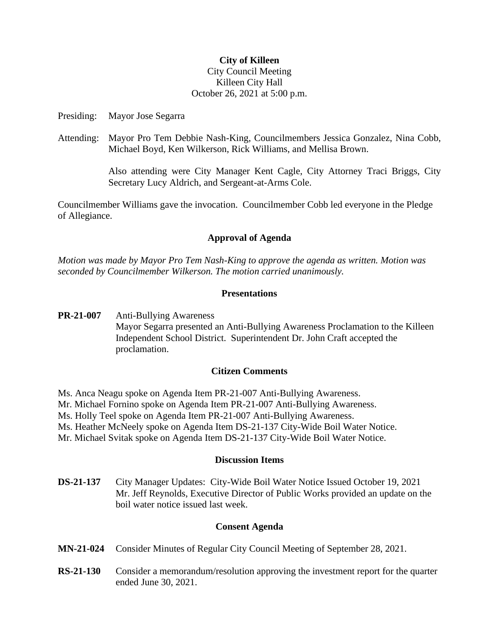## **City of Killeen**

# City Council Meeting Killeen City Hall October 26, 2021 at 5:00 p.m.

Presiding: Mayor Jose Segarra

Attending: Mayor Pro Tem Debbie Nash-King, Councilmembers Jessica Gonzalez, Nina Cobb, Michael Boyd, Ken Wilkerson, Rick Williams, and Mellisa Brown.

> Also attending were City Manager Kent Cagle, City Attorney Traci Briggs, City Secretary Lucy Aldrich, and Sergeant-at-Arms Cole.

Councilmember Williams gave the invocation. Councilmember Cobb led everyone in the Pledge of Allegiance.

#### **Approval of Agenda**

*Motion was made by Mayor Pro Tem Nash-King to approve the agenda as written. Motion was seconded by Councilmember Wilkerson. The motion carried unanimously.*

## **Presentations**

**PR-21-007** Anti-Bullying Awareness Mayor Segarra presented an Anti-Bullying Awareness Proclamation to the Killeen Independent School District. Superintendent Dr. John Craft accepted the proclamation.

# **Citizen Comments**

- Ms. Anca Neagu spoke on Agenda Item PR-21-007 Anti-Bullying Awareness.
- Mr. Michael Fornino spoke on Agenda Item PR-21-007 Anti-Bullying Awareness.
- Ms. Holly Teel spoke on Agenda Item PR-21-007 Anti-Bullying Awareness.
- Ms. Heather McNeely spoke on Agenda Item DS-21-137 City-Wide Boil Water Notice.
- Mr. Michael Svitak spoke on Agenda Item DS-21-137 City-Wide Boil Water Notice.

#### **Discussion Items**

**DS-21-137** City Manager Updates: City-Wide Boil Water Notice Issued October 19, 2021 Mr. Jeff Reynolds, Executive Director of Public Works provided an update on the boil water notice issued last week.

# **Consent Agenda**

- **MN-21-024** Consider Minutes of Regular City Council Meeting of September 28, 2021.
- **RS-21-130** Consider a memorandum/resolution approving the investment report for the quarter ended June 30, 2021.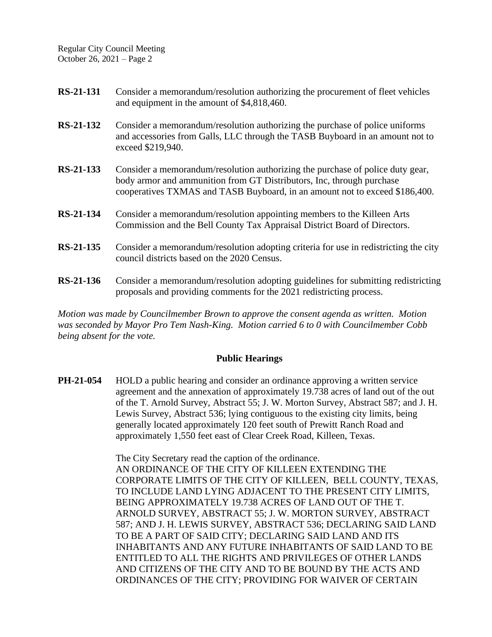Regular City Council Meeting October 26, 2021 – Page 2

| RS-21-131        | Consider a memorandum/resolution authorizing the procurement of fleet vehicles<br>and equipment in the amount of \$4,818,460.                                                                                                          |
|------------------|----------------------------------------------------------------------------------------------------------------------------------------------------------------------------------------------------------------------------------------|
| <b>RS-21-132</b> | Consider a memorandum/resolution authorizing the purchase of police uniforms<br>and accessories from Galls, LLC through the TASB Buyboard in an amount not to<br>exceed \$219,940.                                                     |
| RS-21-133        | Consider a memorandum/resolution authorizing the purchase of police duty gear,<br>body armor and ammunition from GT Distributors, Inc, through purchase<br>cooperatives TXMAS and TASB Buyboard, in an amount not to exceed \$186,400. |
| RS-21-134        | Consider a memorandum/resolution appointing members to the Killeen Arts<br>Commission and the Bell County Tax Appraisal District Board of Directors.                                                                                   |
| RS-21-135        | Consider a memorandum/resolution adopting criteria for use in redistricting the city<br>council districts based on the 2020 Census.                                                                                                    |
| RS-21-136        | Consider a memorandum/resolution adopting guidelines for submitting redistricting                                                                                                                                                      |

*Motion was made by Councilmember Brown to approve the consent agenda as written. Motion was seconded by Mayor Pro Tem Nash-King. Motion carried 6 to 0 with Councilmember Cobb being absent for the vote.*

proposals and providing comments for the 2021 redistricting process.

# **Public Hearings**

**PH-21-054** HOLD a public hearing and consider an ordinance approving a written service agreement and the annexation of approximately 19.738 acres of land out of the out of the T. Arnold Survey, Abstract 55; J. W. Morton Survey, Abstract 587; and J. H. Lewis Survey, Abstract 536; lying contiguous to the existing city limits, being generally located approximately 120 feet south of Prewitt Ranch Road and approximately 1,550 feet east of Clear Creek Road, Killeen, Texas.

> The City Secretary read the caption of the ordinance. AN ORDINANCE OF THE CITY OF KILLEEN EXTENDING THE CORPORATE LIMITS OF THE CITY OF KILLEEN, BELL COUNTY, TEXAS, TO INCLUDE LAND LYING ADJACENT TO THE PRESENT CITY LIMITS, BEING APPROXIMATELY 19.738 ACRES OF LAND OUT OF THE T. ARNOLD SURVEY, ABSTRACT 55; J. W. MORTON SURVEY, ABSTRACT 587; AND J. H. LEWIS SURVEY, ABSTRACT 536; DECLARING SAID LAND TO BE A PART OF SAID CITY; DECLARING SAID LAND AND ITS INHABITANTS AND ANY FUTURE INHABITANTS OF SAID LAND TO BE ENTITLED TO ALL THE RIGHTS AND PRIVILEGES OF OTHER LANDS AND CITIZENS OF THE CITY AND TO BE BOUND BY THE ACTS AND ORDINANCES OF THE CITY; PROVIDING FOR WAIVER OF CERTAIN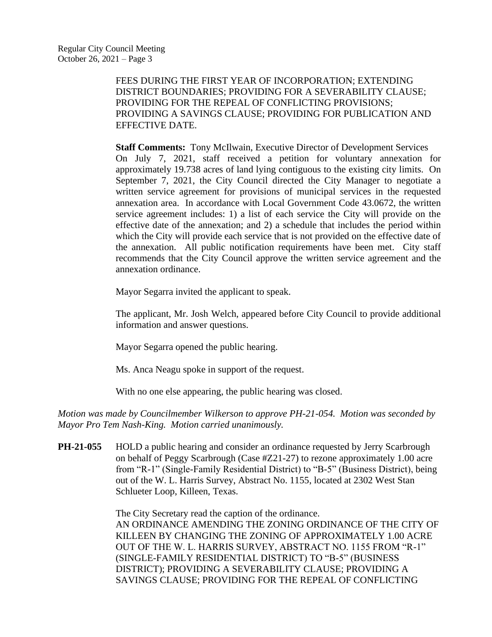FEES DURING THE FIRST YEAR OF INCORPORATION; EXTENDING DISTRICT BOUNDARIES; PROVIDING FOR A SEVERABILITY CLAUSE; PROVIDING FOR THE REPEAL OF CONFLICTING PROVISIONS; PROVIDING A SAVINGS CLAUSE; PROVIDING FOR PUBLICATION AND EFFECTIVE DATE.

**Staff Comments:** Tony McIlwain, Executive Director of Development Services On July 7, 2021, staff received a petition for voluntary annexation for approximately 19.738 acres of land lying contiguous to the existing city limits. On September 7, 2021, the City Council directed the City Manager to negotiate a written service agreement for provisions of municipal services in the requested annexation area. In accordance with Local Government Code 43.0672, the written service agreement includes: 1) a list of each service the City will provide on the effective date of the annexation; and 2) a schedule that includes the period within which the City will provide each service that is not provided on the effective date of the annexation. All public notification requirements have been met. City staff recommends that the City Council approve the written service agreement and the annexation ordinance.

Mayor Segarra invited the applicant to speak.

The applicant, Mr. Josh Welch, appeared before City Council to provide additional information and answer questions.

Mayor Segarra opened the public hearing.

Ms. Anca Neagu spoke in support of the request.

With no one else appearing, the public hearing was closed.

*Motion was made by Councilmember Wilkerson to approve PH-21-054. Motion was seconded by Mayor Pro Tem Nash-King. Motion carried unanimously.*

**PH-21-055** HOLD a public hearing and consider an ordinance requested by Jerry Scarbrough on behalf of Peggy Scarbrough (Case #Z21-27) to rezone approximately 1.00 acre from "R-1" (Single-Family Residential District) to "B-5" (Business District), being out of the W. L. Harris Survey, Abstract No. 1155, located at 2302 West Stan Schlueter Loop, Killeen, Texas.

> The City Secretary read the caption of the ordinance. AN ORDINANCE AMENDING THE ZONING ORDINANCE OF THE CITY OF KILLEEN BY CHANGING THE ZONING OF APPROXIMATELY 1.00 ACRE OUT OF THE W. L. HARRIS SURVEY, ABSTRACT NO. 1155 FROM "R-1" (SINGLE-FAMILY RESIDENTIAL DISTRICT) TO "B-5" (BUSINESS DISTRICT); PROVIDING A SEVERABILITY CLAUSE; PROVIDING A SAVINGS CLAUSE; PROVIDING FOR THE REPEAL OF CONFLICTING